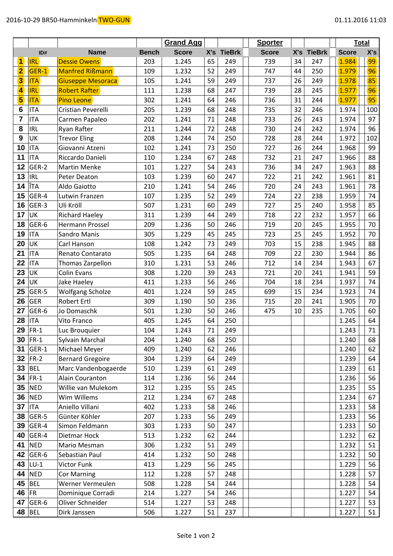|                |            |                          |              | <b>Grand Agg</b> |    |            | <b>Sporter</b> |    |            |              | <b>Total</b> |
|----------------|------------|--------------------------|--------------|------------------|----|------------|----------------|----|------------|--------------|--------------|
|                | ID#        | <b>Name</b>              | <b>Bench</b> | <b>Score</b>     |    | X's TieBrk | <b>Score</b>   |    | X's TieBrk | <b>Score</b> | X's          |
| 1              | <b>IRL</b> | <b>Dessie Owens</b>      | 203          | 1.245            | 65 | 249        | 739            | 34 | 247        | 1.984        | 99           |
| $\overline{2}$ | GER-1      | <b>Manfred Rißmann</b>   | 109          | 1.232            | 52 | 249        | 747            | 44 | 250        | 1.979        | 96           |
| 3              | <b>ITA</b> | <b>Giuseppe Mesoraca</b> | 105          | 1.241            | 59 | 249        | 737            | 26 | 249        | 1.978        | 85           |
| 4              | <b>IRL</b> | <b>Robert Rafter</b>     | 111          | 1.238            | 68 | 247        | 739            | 28 | 245        | 1.977        | 96           |
| 5              | <b>ITA</b> | <b>Pino Leone</b>        | 302          | 1.241            | 64 | 246        | 736            | 31 | 244        | 1.977        | 95           |
| 6              | <b>ITA</b> | Cristian Peverelli       | 205          | 1.239            | 68 | 248        | 735            | 32 | 246        | 1.974        | 100          |
| 7              | <b>ITA</b> | Carmen Papaleo           | 202          | 1.241            | 71 | 248        | 733            | 26 | 243        | 1.974        | 97           |
| 8              | <b>IRL</b> | Ryan Rafter              | 211          | 1.244            | 72 | 248        | 730            | 24 | 242        | 1.974        | 96           |
| 9              | UK         | <b>Trevor Eling</b>      | 208          | 1.244            | 74 | 250        | 728            | 28 | 244        | 1.972        | 102          |
| 10             | <b>ITA</b> | Giovanni Atzeni          | 102          | 1.241            | 73 | 250        | 727            | 26 | 244        | 1.968        | 99           |
| 11             | <b>ITA</b> | Riccardo Danieli         | 110          | 1.234            | 67 | 248        | 732            | 21 | 247        | 1.966        | 88           |
| 12             | GER-2      | <b>Martin Menke</b>      | 101          | 1.227            | 54 | 243        | 736            | 34 | 247        | 1.963        | 88           |
| 13             | <b>IRL</b> | Peter Deaton             | 103          | 1.239            | 60 | 247        | 722            | 21 | 242        | 1.961        | 81           |
| 14             | ÎTA        | Aldo Gaiotto             | 210          | 1.241            | 54 | 246        | 720            | 24 | 243        | 1.961        | 78           |
| 15             | GER-4      | Lutwin Franzen           | 107          | 1.235            | 52 | 249        | 724            | 22 | 238        | 1.959        | 74           |
| 16             | GER-3      | Uli Kröll                | 507          | 1.231            | 60 | 249        | 727            | 25 | 240        | 1.958        | 85           |
| 17             | UK         | <b>Richard Haeley</b>    | 311          | 1.239            | 44 | 249        | 718            | 22 | 232        | 1.957        | 66           |
| 18             | GER-6      | Hermann Prossel          | 209          | 1.236            | 50 | 246        | 719            | 20 | 245        | 1.955        | 70           |
| 19             | <b>ITA</b> | Sandro Manis             | 305          | 1.229            | 45 | 245        | 723            | 25 | 245        | 1.952        | 70           |
| 20             | UK         | Carl Hanson              | 108          | 1.242            | 73 | 249        | 703            | 15 | 238        | 1.945        | 88           |
| 21             | <b>ITA</b> | Renato Contarato         | 505          | 1.235            | 64 | 248        | 709            | 22 | 230        | 1.944        | 86           |
| 22             | <b>ITA</b> | Thomas Zarpellon         | 310          | 1.231            | 53 | 246        | 712            | 14 | 234        | 1.943        | 67           |
| 23             | UK         | <b>Colin Evans</b>       | 308          | 1.220            | 39 | 243        | 721            | 20 | 241        | 1.941        | 59           |
| 24             | UK         | Jake Haeley              | 411          | 1.233            | 56 | 246        | 704            | 18 | 234        | 1.937        | 74           |
| 25             | GER-5      | <b>Wolfgang Scholze</b>  | 401          | 1.224            | 59 | 245        | 699            | 15 | 234        | 1.923        | 74           |
| 26             | <b>GER</b> | Robert Ertl              | 309          | 1.190            | 50 | 236        | 715            | 20 | 241        | 1.905        | 70           |
| 27             | GER-6      | Jo Domaschk              | 501          | 1.230            | 50 | 246        | 475            | 10 | 235        | 1.705        | 60           |
| 28             | <b>ITA</b> | Vito Franco              | 405          | 1.245            | 64 | 250        |                |    |            | 1.245        | 64           |
| 29             | $FR-1$     | Luc Brouquier            | 104          | 1.243            | 71 | 249        |                |    |            | 1.243        | 71           |
|                | $30$ FR-1  | Sylvain Marchal          | 204          | 1.240            | 68 | 250        |                |    |            | 1.240        | 68           |
|                | 31 GER-1   | Michael Meyer            | 409          | 1.240            | 62 | 246        |                |    |            | 1.240        | 62           |
| 32             | $FR-2$     | <b>Bernard Gregoire</b>  | 304          | 1.239            | 64 | 249        |                |    |            | 1.239        | 64           |
| 33             | <b>BEL</b> | Marc Vandenbogaerde      | 510          | 1.239            | 61 | 249        |                |    |            | 1.239        | 61           |
| 34             | $FR-1$     | Alain Couranton          | 114          | 1.236            | 56 | 244        |                |    |            | 1.236        | 56           |
| 35             | <b>NED</b> | Willie van Mulekom       | 312          | 1.235            | 55 | 245        |                |    |            | 1.235        | 55           |
| 36             | <b>NED</b> | Wim Willems              | 212          | 1.234            | 67 | 248        |                |    |            | 1.234        | 67           |
| 37             | <b>ITA</b> | Aniello Villani          | 402          | 1.233            | 58 | 246        |                |    |            | 1.233        | 58           |
| 38             | GER-5      | Günter Köhler            | 207          | 1.233            | 56 | 249        |                |    |            | 1.233        | 56           |
| 39             | GER-4      | Simon Feldmann           | 303          | 1.233            | 50 | 247        |                |    |            | 1.233        | 50           |
| 40             | GER-4      | Dietmar Hock             | 513          | 1.232            | 62 | 244        |                |    |            | 1.232        | 62           |
| 41             | <b>NED</b> | Mario Mesman             | 306          | 1.232            | 51 | 249        |                |    |            | 1.232        | 51           |
| 42             | GER-6      | Sebastian Paul           | 414          | 1.232            | 50 | 248        |                |    |            | 1.232        | 50           |
| 43             | $LU-1$     | Victor Funk              | 413          | 1.229            | 56 | 245        |                |    |            | 1.229        | 56           |
| 44             | <b>NED</b> | <b>Cor Marning</b>       | 112          | 1.228            | 57 | 248        |                |    |            | 1.228        | 57           |
| 45             | <b>BEL</b> | Werner Vermeulen         | 508          | 1.228            | 54 | 244        |                |    |            | 1.228        | 54           |
| 46             | <b>FR</b>  | Dominique Corradi        | 214          | 1.227            | 54 | 246        |                |    |            | 1.227        | 54           |
| 47             | GER-6      | Oliver Schneider         | 514          | 1.227            | 53 | 248        |                |    |            | 1.227        | 53           |
|                | 48 BEL     | Dirk Janssen             | 506          | 1.227            | 51 | 237        |                |    |            | 1.227        | 51           |